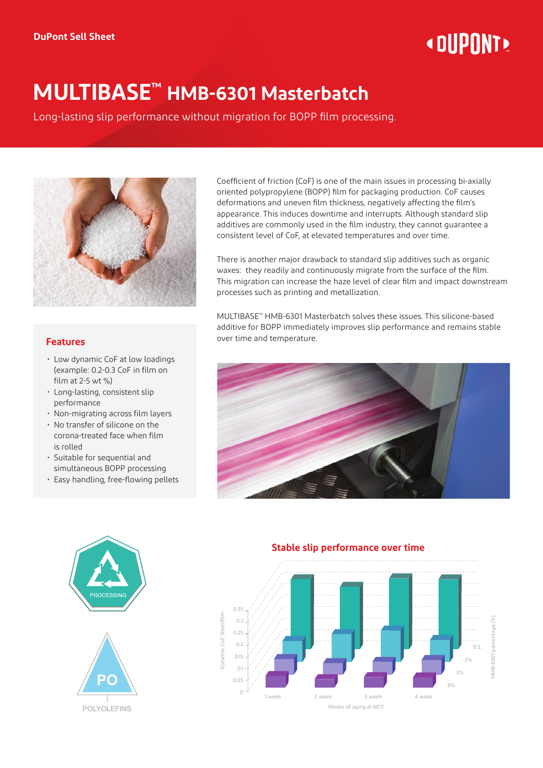# **« DUPONT!**

## **MULTIBASE™ HMB-6301 Masterbatch**

Long-lasting slip performance without migration for BOPP film processing.



### **Features**

- Low dynamic CoF at low loadings (example: 0.2-0.3 CoF in film on film at 2-5 wt %)
- Long-lasting, consistent slip performance
- Non-migrating across film layers
- No transfer of silicone on the corona-treated face when film is rolled
- Suitable for sequential and simultaneous BOPP processing
- Easy handling, free-flowing pellets

Coefficient of friction (CoF) is one of the main issues in processing bi-axially oriented polypropylene (BOPP) film for packaging production. CoF causes deformations and uneven film thickness, negatively affecting the film's appearance. This induces downtime and interrupts. Although standard slip additives are commonly used in the film industry, they cannot guarantee a consistent level of CoF, at elevated temperatures and over time.

There is another major drawback to standard slip additives such as organic waxes: they readily and continuously migrate from the surface of the film. This migration can increase the haze level of clear film and impact downstream processes such as printing and metallization.

MULTIBASE™ HMB-6301 Masterbatch solves these issues. This silicone-based additive for BOPP immediately improves slip performance and remains stable over time and temperature.





#### **Stable slip performance over time**